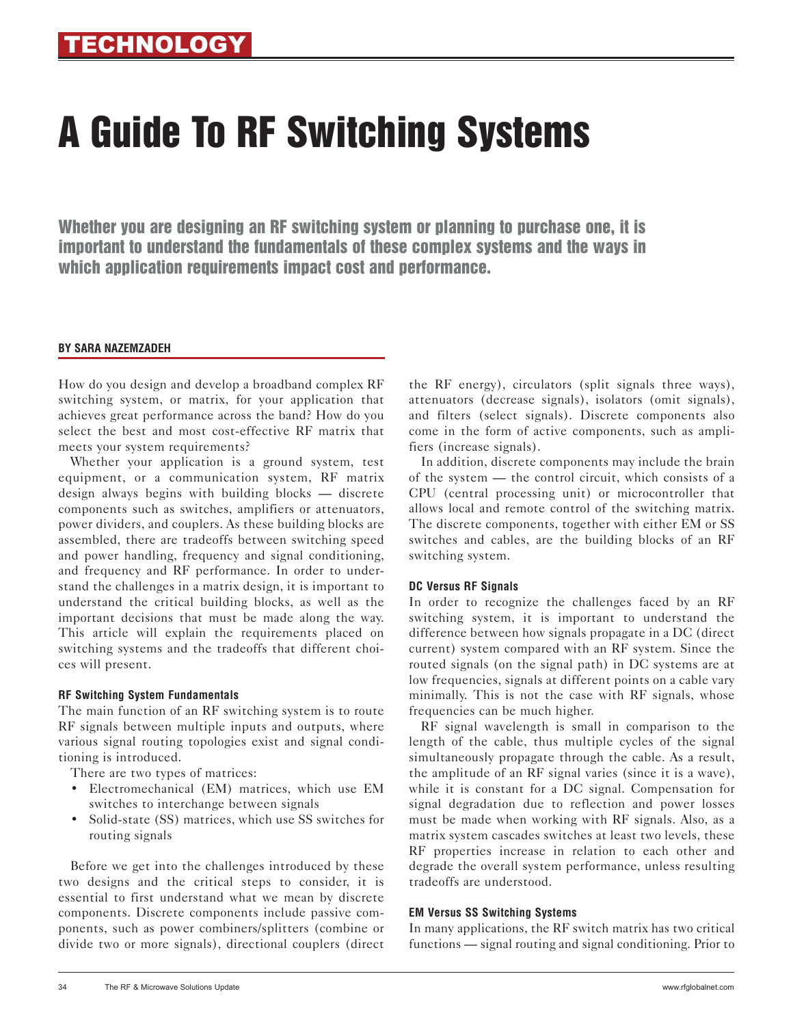# A Guide To RF Switching Systems

Whether you are designing an RF switching system or planning to purchase one, it is important to understand the fundamentals of these complex systems and the ways in which application requirements impact cost and performance.

#### **BY SARA NAZEMZADEH**

How do you design and develop a broadband complex RF switching system, or matrix, for your application that achieves great performance across the band? How do you select the best and most cost-effective RF matrix that meets your system requirements?

Whether your application is a ground system, test equipment, or a communication system, RF matrix design always begins with building blocks — discrete components such as switches, amplifiers or attenuators, power dividers, and couplers. As these building blocks are assembled, there are tradeoffs between switching speed and power handling, frequency and signal conditioning, and frequency and RF performance. In order to understand the challenges in a matrix design, it is important to understand the critical building blocks, as well as the important decisions that must be made along the way. This article will explain the requirements placed on switching systems and the tradeoffs that different choices will present.

# **RF Switching System Fundamentals**

The main function of an RF switching system is to route RF signals between multiple inputs and outputs, where various signal routing topologies exist and signal conditioning is introduced.

There are two types of matrices:

- Electromechanical (EM) matrices, which use EM switches to interchange between signals
- Solid-state (SS) matrices, which use SS switches for routing signals

Before we get into the challenges introduced by these two designs and the critical steps to consider, it is essential to first understand what we mean by discrete components. Discrete components include passive components, such as power combiners/splitters (combine or divide two or more signals), directional couplers (direct the RF energy), circulators (split signals three ways), attenuators (decrease signals), isolators (omit signals), and filters (select signals). Discrete components also come in the form of active components, such as amplifiers (increase signals).

In addition, discrete components may include the brain of the system — the control circuit, which consists of a CPU (central processing unit) or microcontroller that allows local and remote control of the switching matrix. The discrete components, together with either EM or SS switches and cables, are the building blocks of an RF switching system.

# **DC Versus RF Signals**

In order to recognize the challenges faced by an RF switching system, it is important to understand the difference between how signals propagate in a DC (direct current) system compared with an RF system. Since the routed signals (on the signal path) in DC systems are at low frequencies, signals at different points on a cable vary minimally. This is not the case with RF signals, whose frequencies can be much higher.

RF signal wavelength is small in comparison to the length of the cable, thus multiple cycles of the signal simultaneously propagate through the cable. As a result, the amplitude of an RF signal varies (since it is a wave), while it is constant for a DC signal. Compensation for signal degradation due to reflection and power losses must be made when working with RF signals. Also, as a matrix system cascades switches at least two levels, these RF properties increase in relation to each other and degrade the overall system performance, unless resulting tradeoffs are understood.

# **EM Versus SS Switching Systems**

In many applications, the RF switch matrix has two critical functions — signal routing and signal conditioning. Prior to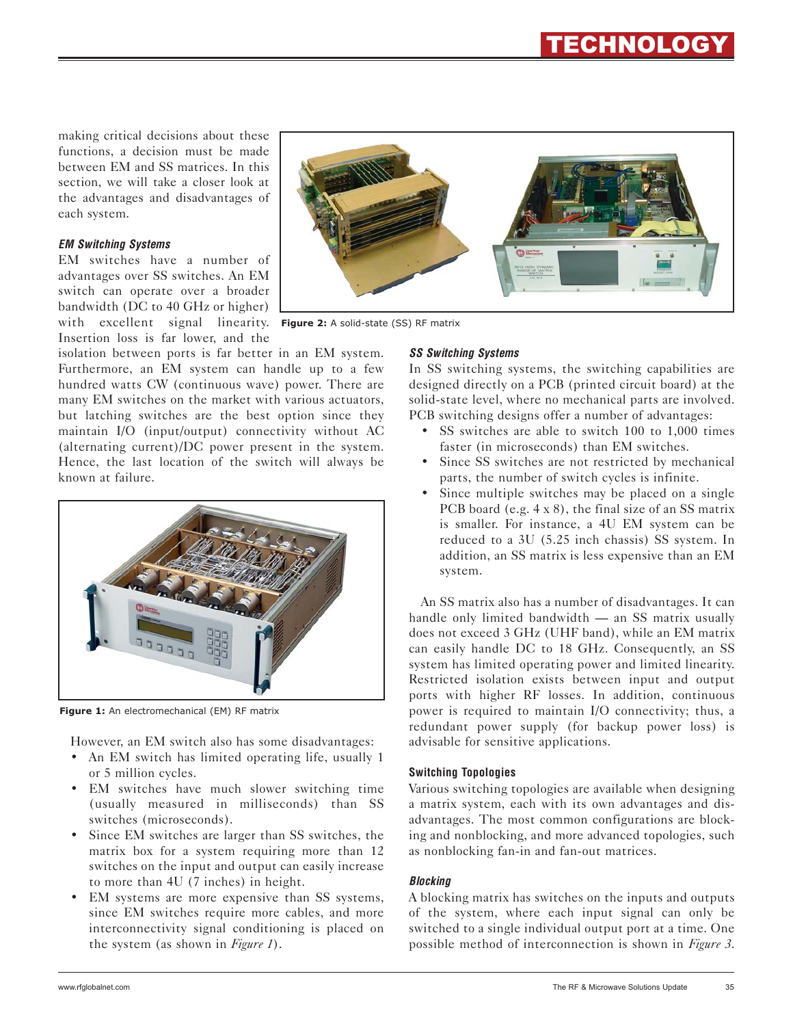making critical decisions about these functions, a decision must be made between EM and SS matrices. In this section, we will take a closer look at the advantages and disadvantages of each system.

# *EM Switching Systems*

EM switches have a number of advantages over SS switches. An EM switch can operate over a broader bandwidth (DC to 40 GHz or higher) with excellent signal linearity. **Figure 2:** A solid-state (SS) RF matrixInsertion loss is far lower, and the

isolation between ports is far better in an EM system. Furthermore, an EM system can handle up to a few hundred watts CW (continuous wave) power. There are many EM switches on the market with various actuators, but latching switches are the best option since they maintain I/O (input/output) connectivity without AC (alternating current)/DC power present in the system. Hence, the last location of the switch will always be known at failure.



**Figure 1:** An electromechanical (EM) RF matrix

However, an EM switch also has some disadvantages:

- An EM switch has limited operating life, usually 1 or 5 million cycles.
- EM switches have much slower switching time (usually measured in milliseconds) than SS switches (microseconds).
- Since EM switches are larger than SS switches, the matrix box for a system requiring more than 12 switches on the input and output can easily increase to more than 4U (7 inches) in height.
- EM systems are more expensive than SS systems, since EM switches require more cables, and more interconnectivity signal conditioning is placed on the system (as shown in *Figure 1*).



# *SS Switching Systems*

In SS switching systems, the switching capabilities are designed directly on a PCB (printed circuit board) at the solid-state level, where no mechanical parts are involved. PCB switching designs offer a number of advantages:

- SS switches are able to switch 100 to 1,000 times faster (in microseconds) than EM switches.
- Since SS switches are not restricted by mechanical parts, the number of switch cycles is infinite.
- Since multiple switches may be placed on a single PCB board (e.g. 4 x 8), the final size of an SS matrix is smaller. For instance, a 4U EM system can be reduced to a 3U (5.25 inch chassis) SS system. In addition, an SS matrix is less expensive than an EM system.

An SS matrix also has a number of disadvantages. It can handle only limited bandwidth — an SS matrix usually does not exceed 3 GHz (UHF band), while an EM matrix can easily handle DC to 18 GHz. Consequently, an SS system has limited operating power and limited linearity. Restricted isolation exists between input and output ports with higher RF losses. In addition, continuous power is required to maintain I/O connectivity; thus, a redundant power supply (for backup power loss) is advisable for sensitive applications.

# **Switching Topologies**

Various switching topologies are available when designing a matrix system, each with its own advantages and disadvantages. The most common configurations are blocking and nonblocking, and more advanced topologies, such as nonblocking fan-in and fan-out matrices.

# *Blocking*

A blocking matrix has switches on the inputs and outputs of the system, where each input signal can only be switched to a single individual output port at a time. One possible method of interconnection is shown in *Figure 3*.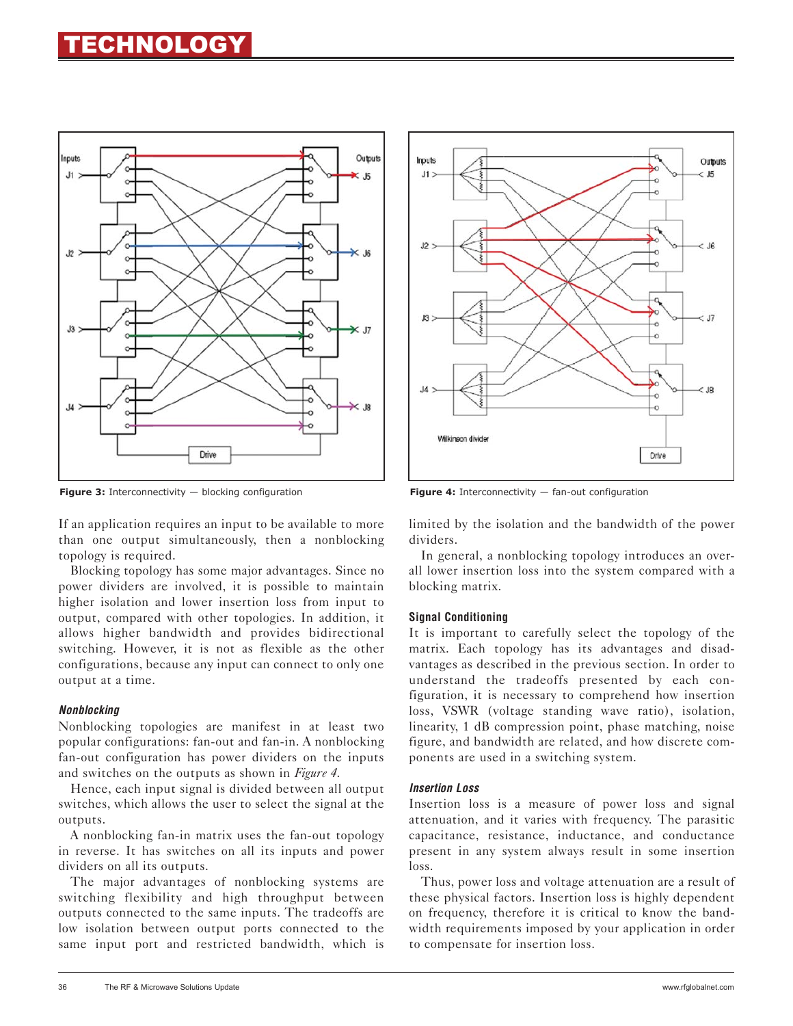# **ECHNOLOGY**



**Figure 3:** Interconnectivity — blocking configuration **Figure 4:** Interconnectivity — fan-out configuration

If an application requires an input to be available to more than one output simultaneously, then a nonblocking topology is required.

Blocking topology has some major advantages. Since no power dividers are involved, it is possible to maintain higher isolation and lower insertion loss from input to output, compared with other topologies. In addition, it allows higher bandwidth and provides bidirectional switching. However, it is not as flexible as the other configurations, because any input can connect to only one output at a time.

# *Nonblocking*

Nonblocking topologies are manifest in at least two popular configurations: fan-out and fan-in. A nonblocking fan-out configuration has power dividers on the inputs and switches on the outputs as shown in *Figure 4*.

Hence, each input signal is divided between all output switches, which allows the user to select the signal at the outputs.

A nonblocking fan-in matrix uses the fan-out topology in reverse. It has switches on all its inputs and power dividers on all its outputs.

The major advantages of nonblocking systems are switching flexibility and high throughput between outputs connected to the same inputs. The tradeoffs are low isolation between output ports connected to the same input port and restricted bandwidth, which is



limited by the isolation and the bandwidth of the power dividers.

In general, a nonblocking topology introduces an overall lower insertion loss into the system compared with a blocking matrix.

# **Signal Conditioning**

It is important to carefully select the topology of the matrix. Each topology has its advantages and disadvantages as described in the previous section. In order to understand the tradeoffs presented by each configuration, it is necessary to comprehend how insertion loss, VSWR (voltage standing wave ratio), isolation, linearity, 1 dB compression point, phase matching, noise figure, and bandwidth are related, and how discrete components are used in a switching system.

#### *Insertion Loss*

Insertion loss is a measure of power loss and signal attenuation, and it varies with frequency. The parasitic capacitance, resistance, inductance, and conductance present in any system always result in some insertion loss.

Thus, power loss and voltage attenuation are a result of these physical factors. Insertion loss is highly dependent on frequency, therefore it is critical to know the bandwidth requirements imposed by your application in order to compensate for insertion loss.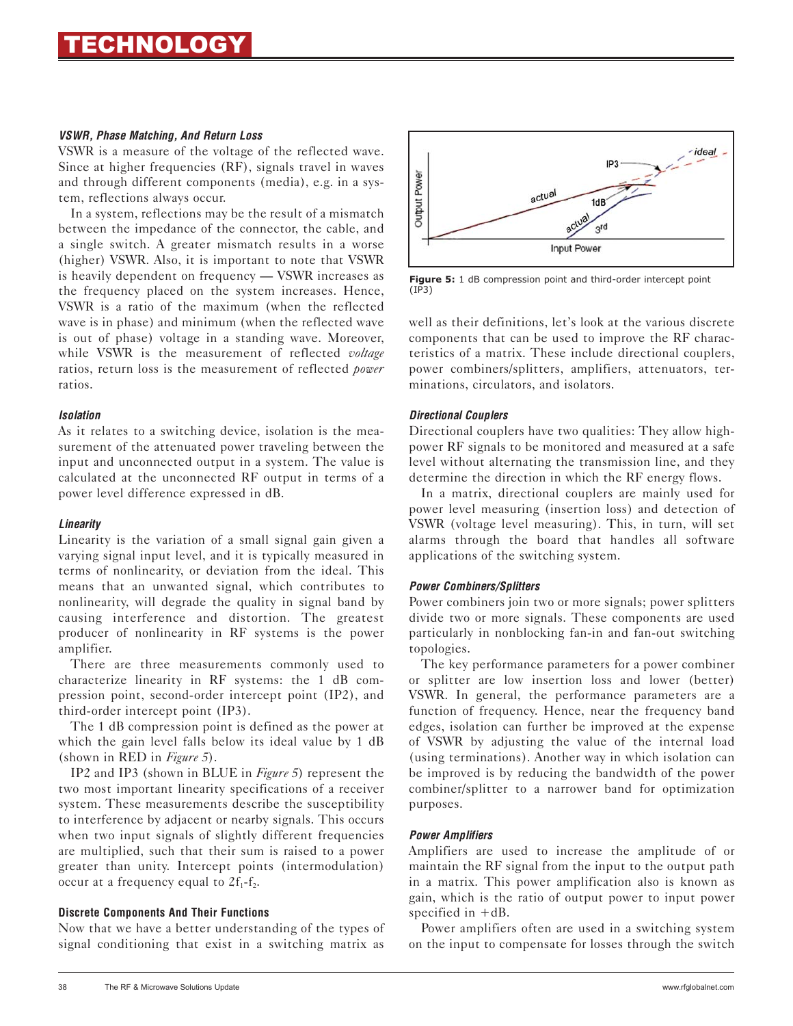#### *VSWR, Phase Matching, And Return Loss*

VSWR is a measure of the voltage of the reflected wave. Since at higher frequencies (RF), signals travel in waves and through different components (media), e.g. in a system, reflections always occur.

In a system, reflections may be the result of a mismatch between the impedance of the connector, the cable, and a single switch. A greater mismatch results in a worse (higher) VSWR. Also, it is important to note that VSWR is heavily dependent on frequency — VSWR increases as the frequency placed on the system increases. Hence, VSWR is a ratio of the maximum (when the reflected wave is in phase) and minimum (when the reflected wave is out of phase) voltage in a standing wave. Moreover, while VSWR is the measurement of reflected *voltage* ratios, return loss is the measurement of reflected *power* ratios.

#### *Isolation*

As it relates to a switching device, isolation is the measurement of the attenuated power traveling between the input and unconnected output in a system. The value is calculated at the unconnected RF output in terms of a power level difference expressed in dB.

# *Linearity*

Linearity is the variation of a small signal gain given a varying signal input level, and it is typically measured in terms of nonlinearity, or deviation from the ideal. This means that an unwanted signal, which contributes to nonlinearity, will degrade the quality in signal band by causing interference and distortion. The greatest producer of nonlinearity in RF systems is the power amplifier.

There are three measurements commonly used to characterize linearity in RF systems: the 1 dB compression point, second-order intercept point (IP2), and third-order intercept point (IP3).

The 1 dB compression point is defined as the power at which the gain level falls below its ideal value by 1 dB (shown in RED in *Figure 5*).

IP2 and IP3 (shown in BLUE in *Figure 5*) represent the two most important linearity specifications of a receiver system. These measurements describe the susceptibility to interference by adjacent or nearby signals. This occurs when two input signals of slightly different frequencies are multiplied, such that their sum is raised to a power greater than unity. Intercept points (intermodulation) occur at a frequency equal to  $2f_1-f_2$ .

#### **Discrete Components And Their Functions**

Now that we have a better understanding of the types of signal conditioning that exist in a switching matrix as



**Figure 5:** 1 dB compression point and third-order intercept point (IP3)

well as their definitions, let's look at the various discrete components that can be used to improve the RF characteristics of a matrix. These include directional couplers, power combiners/splitters, amplifiers, attenuators, terminations, circulators, and isolators.

#### *Directional Couplers*

Directional couplers have two qualities: They allow highpower RF signals to be monitored and measured at a safe level without alternating the transmission line, and they determine the direction in which the RF energy flows.

In a matrix, directional couplers are mainly used for power level measuring (insertion loss) and detection of VSWR (voltage level measuring). This, in turn, will set alarms through the board that handles all software applications of the switching system.

# *Power Combiners/Splitters*

Power combiners join two or more signals; power splitters divide two or more signals. These components are used particularly in nonblocking fan-in and fan-out switching topologies.

The key performance parameters for a power combiner or splitter are low insertion loss and lower (better) VSWR. In general, the performance parameters are a function of frequency. Hence, near the frequency band edges, isolation can further be improved at the expense of VSWR by adjusting the value of the internal load (using terminations). Another way in which isolation can be improved is by reducing the bandwidth of the power combiner/splitter to a narrower band for optimization purposes.

# *Power Amplifiers*

Amplifiers are used to increase the amplitude of or maintain the RF signal from the input to the output path in a matrix. This power amplification also is known as gain, which is the ratio of output power to input power specified in +dB.

Power amplifiers often are used in a switching system on the input to compensate for losses through the switch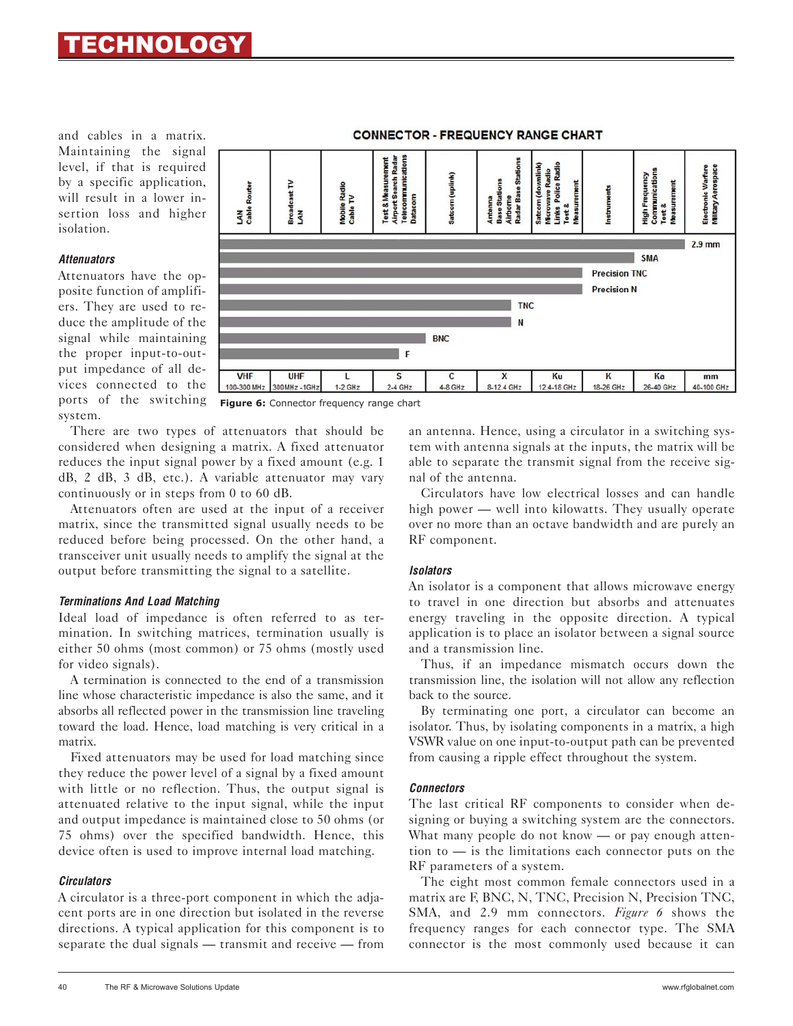and cables in a matrix. Maintaining the signal level, if that is required by a specific application, will result in a lower insertion loss and higher isolation.

#### *Attenuators*

Attenuators have the opposite function of amplifiers. They are used to reduce the amplitude of the signal while maintaining the proper input-to-output impedance of all devices connected to the ports of the switching system.



**CONNECTOR - FREQUENCY RANGE CHART** 

**Figure 6:** Connector frequency range chart

There are two types of attenuators that should be considered when designing a matrix. A fixed attenuator reduces the input signal power by a fixed amount (e.g. 1 dB, 2 dB, 3 dB, etc.). A variable attenuator may vary continuously or in steps from 0 to 60 dB.

Attenuators often are used at the input of a receiver matrix, since the transmitted signal usually needs to be reduced before being processed. On the other hand, a transceiver unit usually needs to amplify the signal at the output before transmitting the signal to a satellite.

# *Terminations And Load Matching*

Ideal load of impedance is often referred to as termination. In switching matrices, termination usually is either 50 ohms (most common) or 75 ohms (mostly used for video signals).

A termination is connected to the end of a transmission line whose characteristic impedance is also the same, and it absorbs all reflected power in the transmission line traveling toward the load. Hence, load matching is very critical in a matrix.

Fixed attenuators may be used for load matching since they reduce the power level of a signal by a fixed amount with little or no reflection. Thus, the output signal is attenuated relative to the input signal, while the input and output impedance is maintained close to 50 ohms (or 75 ohms) over the specified bandwidth. Hence, this device often is used to improve internal load matching.

# *Circulators*

A circulator is a three-port component in which the adjacent ports are in one direction but isolated in the reverse directions. A typical application for this component is to separate the dual signals — transmit and receive — from an antenna. Hence, using a circulator in a switching system with antenna signals at the inputs, the matrix will be able to separate the transmit signal from the receive signal of the antenna.

Circulators have low electrical losses and can handle high power — well into kilowatts. They usually operate over no more than an octave bandwidth and are purely an RF component.

# *Isolators*

An isolator is a component that allows microwave energy to travel in one direction but absorbs and attenuates energy traveling in the opposite direction. A typical application is to place an isolator between a signal source and a transmission line.

Thus, if an impedance mismatch occurs down the transmission line, the isolation will not allow any reflection back to the source.

By terminating one port, a circulator can become an isolator. Thus, by isolating components in a matrix, a high VSWR value on one input-to-output path can be prevented from causing a ripple effect throughout the system.

# *Connectors*

The last critical RF components to consider when designing or buying a switching system are the connectors. What many people do not know — or pay enough attention to — is the limitations each connector puts on the RF parameters of a system.

The eight most common female connectors used in a matrix are F, BNC, N, TNC, Precision N, Precision TNC, SMA, and 2.9 mm connectors. *Figure 6* shows the frequency ranges for each connector type. The SMA connector is the most commonly used because it can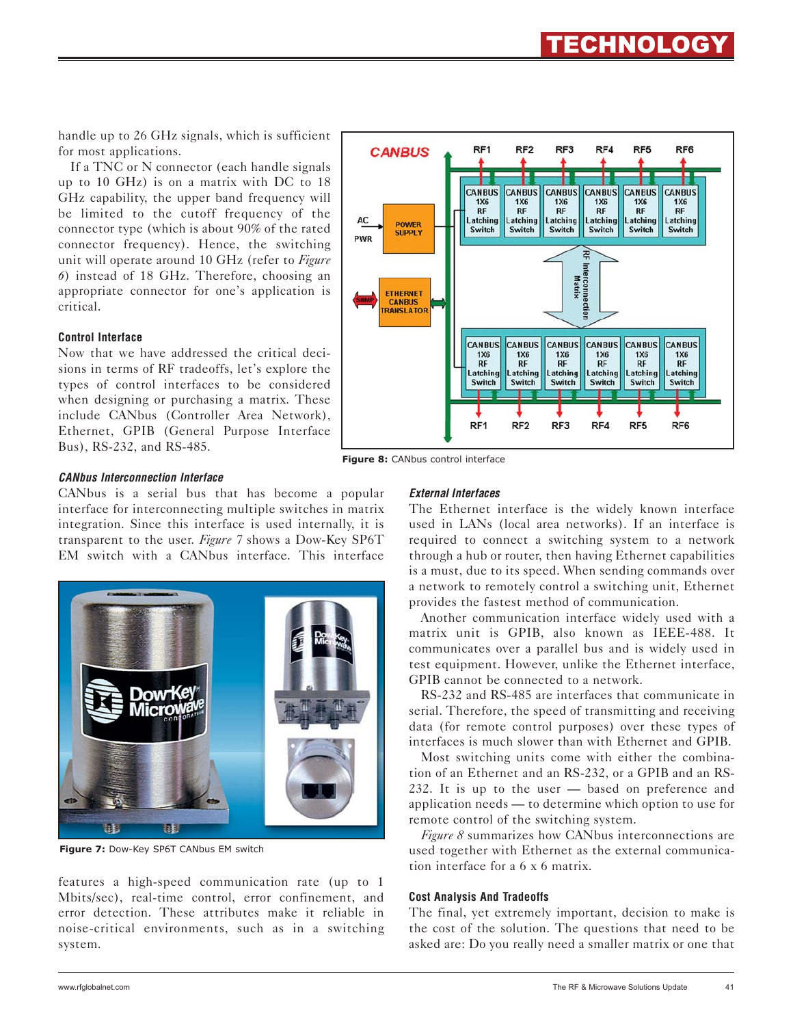handle up to 26 GHz signals, which is sufficient for most applications.

If a TNC or N connector (each handle signals up to 10 GHz) is on a matrix with DC to 18 GHz capability, the upper band frequency will be limited to the cutoff frequency of the connector type (which is about 90% of the rated connector frequency). Hence, the switching unit will operate around 10 GHz (refer to *Figure 6*) instead of 18 GHz. Therefore, choosing an appropriate connector for one's application is critical.

#### **Control Interface**

Now that we have addressed the critical decisions in terms of RF tradeoffs, let's explore the types of control interfaces to be considered when designing or purchasing a matrix. These include CANbus (Controller Area Network), Ethernet, GPIB (General Purpose Interface Bus), RS-232, and RS-485.



ECHNOLOG

**Figure 8:** CANbus control interface

#### *CANbus Interconnection Interface*

CANbus is a serial bus that has become a popular interface for interconnecting multiple switches in matrix integration. Since this interface is used internally, it is transparent to the user. *Figure 7* shows a Dow-Key SP6T EM switch with a CANbus interface. This interface



**Figure 7:** Dow-Key SP6T CANbus EM switch

features a high-speed communication rate (up to 1 Mbits/sec), real-time control, error confinement, and error detection. These attributes make it reliable in noise-critical environments, such as in a switching system.

#### *External Interfaces*

The Ethernet interface is the widely known interface used in LANs (local area networks). If an interface is required to connect a switching system to a network through a hub or router, then having Ethernet capabilities is a must, due to its speed. When sending commands over a network to remotely control a switching unit, Ethernet provides the fastest method of communication.

Another communication interface widely used with a matrix unit is GPIB, also known as IEEE-488. It communicates over a parallel bus and is widely used in test equipment. However, unlike the Ethernet interface, GPIB cannot be connected to a network.

RS-232 and RS-485 are interfaces that communicate in serial. Therefore, the speed of transmitting and receiving data (for remote control purposes) over these types of interfaces is much slower than with Ethernet and GPIB.

Most switching units come with either the combination of an Ethernet and an RS-232, or a GPIB and an RS-232. It is up to the user — based on preference and application needs — to determine which option to use for remote control of the switching system.

*Figure 8* summarizes how CANbus interconnections are used together with Ethernet as the external communication interface for a 6 x 6 matrix.

#### **Cost Analysis And Tradeoffs**

The final, yet extremely important, decision to make is the cost of the solution. The questions that need to be asked are: Do you really need a smaller matrix or one that